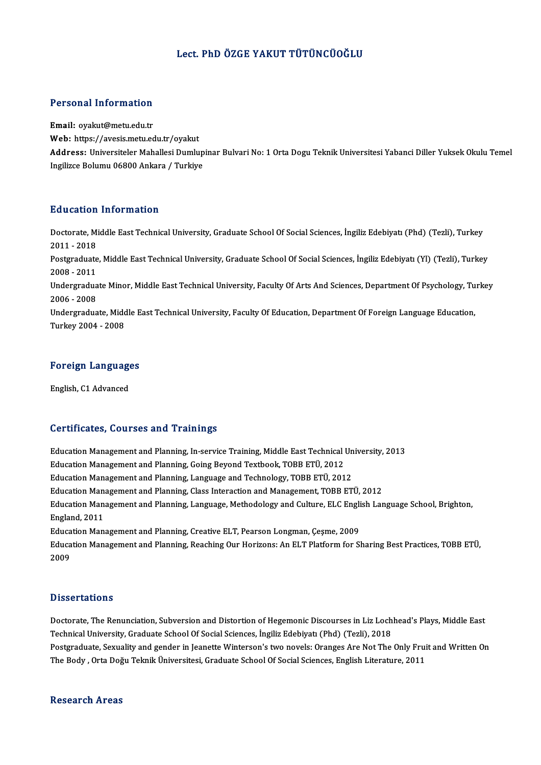### Lect. PhD ÖZGE YAKUT TÜTÜNCÜOĞLU

#### Personal Information

Email: oyakut@metu.edu.tr Web: https://avesis.metu.edu.tr/oyakut Email: oyakut@metu.edu.tr<br>Web: https://avesis.metu.edu.tr/oyakut<br>Address: Universiteler Mahallesi Dumlupinar Bulvari No: 1 Orta Dogu Teknik Universitesi Yabanci Diller Yuksek Okulu Temel<br>Ingilizce Polumu 06800 Ankare / Tur Web: https://avesis.metu.edu.tr/oyakut<br>Address: Universiteler Mahallesi Dumlup<br>Ingilizce Bolumu 06800 Ankara / Turkiye

#### Education Information

**Education Information**<br>Doctorate, Middle East Technical University, Graduate School Of Social Sciences, İngiliz Edebiyatı (Phd) (Tezli), Turkey<br>2011 - 2018 2011 -2018<br>2011 - 2018<br>Postareduate Doctorate, Middle East Technical University, Graduate School Of Social Sciences, İngiliz Edebiyatı (Phd) (Tezli), Turkey<br>2011 - 2018<br>Postgraduate, Middle East Technical University, Graduate School Of Social Sciences, İngil 2011 - 2018<br>Postgraduate, Middle East Technical University, Graduate School Of Social Sciences, İngiliz Edebiyatı (Yl) (Tezli), Turkey<br>2008 - 2011 Postgraduate, Middle East Technical University, Graduate School Of Social Sciences, İngiliz Edebiyatı (Yl) (Tezli), Turkey<br>2008 - 2011<br>Undergraduate Minor, Middle East Technical University, Faculty Of Arts And Sciences, De 2008 - 2011<br>Undergradua<br>2006 - 2008<br>Undergradua Undergraduate Minor, Middle East Technical University, Faculty Of Arts And Sciences, Department Of Psychology, Tu<br>2006 - 2008<br>Undergraduate, Middle East Technical University, Faculty Of Education, Department Of Foreign Lan 2006 - 2008<br>Undergraduate, Midc<br>Turkey 2004 - 2008

### 1urkey 2004 - 2008<br>Foreign Languages <mark>Foreign Language</mark><br>English, C1 Advanced

# English, C1 Advanced<br>Certificates, Courses and Trainings

Certificates, Courses and Trainings<br>Education Management and Planning, In-service Training, Middle East Technical University, 2013<br>Education Management and Planning, Ceing Peyond Teythook, TOPP ETÜ, 2012 Education Management and Planning, In-service Training, Middle East Technical<br>Education Management and Planning, Going Beyond Textbook, TOBB ETÜ, 2012<br>Education Management and Planning, Language and Technology, TOBB ETÜ, 2 Education Management and Planning, In-service Training, Middle East Technical Un<br>Education Management and Planning, Going Beyond Textbook, TOBB ETÜ, 2012<br>Education Management and Planning, Language and Technology, TOBB ETÜ Education Management and Planning, Going Beyond Textbook, TOBB ETÜ, 2012<br>Education Management and Planning, Language and Technology, TOBB ETÜ, 2012<br>Education Management and Planning, Class Interaction and Management, TOBB Education Management and Planning, Language and Technology, TOBB ETÜ, 2012<br>Education Management and Planning, Class Interaction and Management, TOBB ETÜ, 2012<br>Education Management and Planning, Language, Methodology and Cu Education Mana<br>Education Mana<br>England, 2011<br>Education Man Education Management and Planning, Language, Methodology and Culture, ELC Engli<br>England, 2011<br>Education Management and Planning, Creative ELT, Pearson Longman, Çeşme, 2009<br>Education Management and Planning, Peaching Our Ho Education Management and Planning, Reaching Our Horizons: An ELT Platform for Sharing Best Practices, TOBB ETÜ,<br>2009 Educa<br>Educa<br>2009

#### **Dissertations**

Dissertations<br>Doctorate, The Renunciation, Subversion and Distortion of Hegemonic Discourses in Liz Lochhead's Plays, Middle East<br>Technical University, Craduate School Of Secial Sciences, <sup>Inguliz</sup> Edebiyat, (Phd.) (Tecli) Technical<br>Doctorate, The Renunciation, Subversion and Distortion of Hegemonic Discourses in Liz Loch<br>Technical University, Graduate School Of Social Sciences, İngiliz Edebiyatı (Phd) (Tezli), 2018<br>Postaraduate, Sexuality a Doctorate, The Renunciation, Subversion and Distortion of Hegemonic Discourses in Liz Lochhead's Plays, Middle East<br>Technical University, Graduate School Of Social Sciences, İngiliz Edebiyatı (Phd) (Tezli), 2018<br>Postgradua Technical University, Graduate School Of Social Sciences, İngiliz Edebiyatı (Phd) (Tezli), 2018<br>Postgraduate, Sexuality and gender in Jeanette Winterson's two novels: Oranges Are Not The Only Fruit and Written On<br>The Body

#### **Research Areas**